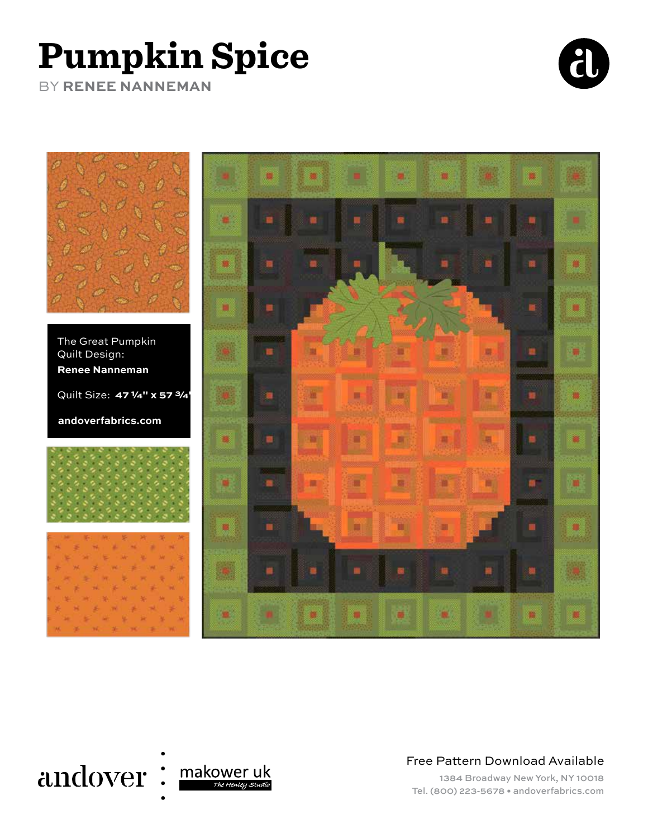## **Pumpkin Spice**

BY **RENEE NANNEMAN**







Free Pattern Download Available

1384 Broadway New York, NY 10018 Tel. (800) 223-5678 • andoverfabrics.com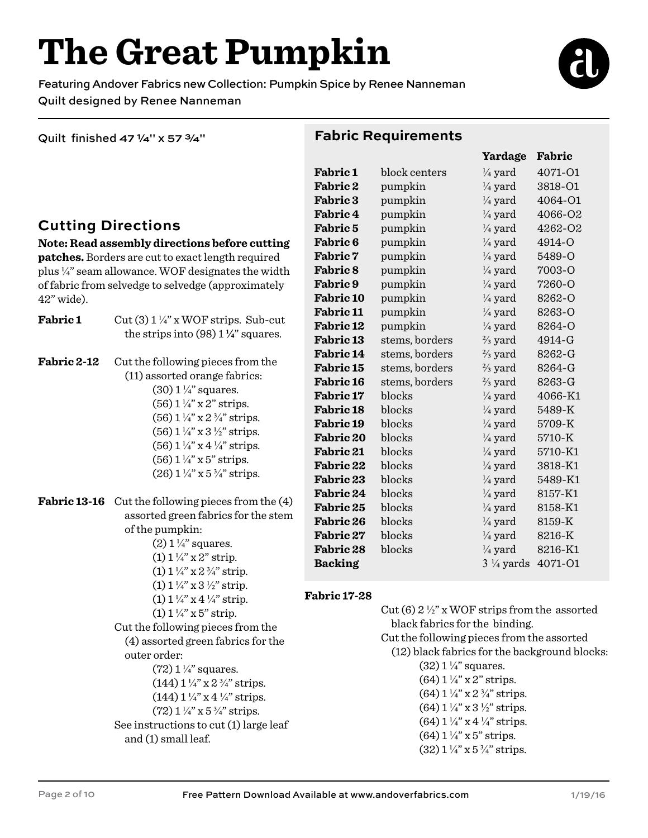# **The Great Pumpkin**

Featuring Andover Fabrics new Collection: Pumpkin Spice by Renee Nanneman Quilt designed by Renee Nanneman

Quilt finished 47 1/4" x 57 3/4"

#### **Fabric Requirements**

### **Cutting Directions**

**Note: Read assembly directions before cutting patches.** Borders are cut to exact length required plus ¼" seam allowance. WOF designates the width of fabric from selvedge to selvedge (approximately 42" wide).

**Fabric 1** Cut  $(3) 1\frac{1}{4}$ " x WOF strips. Sub-cut the strips into  $(98)$   $1\frac{1}{4}$  squares. **Fabric 2-12** Cut the following pieces from the

> (11) assorted orange fabrics:  $(30)$  1  $\frac{1}{4}$ " squares.  $(56)$  1  $\frac{1}{4}$ " x 2" strips.  $(56)$  1  $\frac{1}{4}$  x 2  $\frac{3}{4}$  strips.  $(56)$  1 ¼" x 3 ½" strips.  $(56)$  1 ¼" x 4 ¼" strips.  $(56)$  1  $\frac{1}{4}$ " x 5" strips.  $(26)$  1  $\frac{1}{4}$  x 5  $\frac{3}{4}$  strips.

**Fabric 13-16** Cut the following pieces from the (4) assorted green fabrics for the stem of the pumpkin:  $(2)$  1  $\frac{1}{4}$ " squares.  $(1)$  1  $\frac{1}{4}$ " x 2" strip.

> $(1)$  1  $\frac{1}{4}$ " x 2  $\frac{3}{4}$ " strip.  $(1)$  1  $\frac{1}{4}$  x 3  $\frac{1}{2}$  strip. (1)  $1\frac{1}{4}$ " x 4 $\frac{1}{4}$ " strip.  $(1)$  1  $\frac{1}{4}$ " x 5" strip. Cut the following pieces from the

 (4) assorted green fabrics for the outer order:  $(72)$  1  $\frac{1}{4}$ " squares.

- $(144)$   $1\frac{1}{4}$  x  $2\frac{3}{4}$  strips.  $(144)$   $1\frac{1}{4}$ " x  $4\frac{1}{4}$ " strips.  $(72)$  1  $\frac{1}{4}$  x 5  $\frac{3}{4}$  strips. See instructions to cut (1) large leaf
- and (1) small leaf.

| <b>Fabric 1</b>  | block centers  | ¼ yard               | 4071-01 |
|------------------|----------------|----------------------|---------|
| <b>Fabric 2</b>  | pumpkin        | $\frac{1}{4}$ yard   | 3818-O1 |
| <b>Fabric 3</b>  | pumpkin        | $\frac{1}{4}$ yard   | 4064-01 |
| <b>Fabric 4</b>  | pumpkin        | $\frac{1}{4}$ yard   | 4066-02 |
| <b>Fabric 5</b>  | pumpkin        | $\frac{1}{4}$ yard   | 4262-02 |
| Fabric 6         | pumpkin        | $\frac{1}{4}$ yard   | 4914-O  |
| <b>Fabric 7</b>  | pumpkin        | $\frac{1}{4}$ yard   | 5489-O  |
| <b>Fabric 8</b>  | pumpkin        | $\frac{1}{4}$ yard   | 7003-O  |
| <b>Fabric 9</b>  | pumpkin        | $\frac{1}{4}$ yard   | 7260-O  |
| <b>Fabric 10</b> | pumpkin        | $\frac{1}{4}$ yard   | 8262-O  |
| <b>Fabric 11</b> | pumpkin        | $\frac{1}{4}$ yard   | 8263-O  |
| <b>Fabric 12</b> | pumpkin        | $\frac{1}{4}$ yard   | 8264-O  |
| <b>Fabric 13</b> | stems, borders | $\frac{2}{3}$ yard   | 4914-G  |
| <b>Fabric 14</b> | stems, borders | $\frac{2}{3}$ yard   | 8262-G  |
| <b>Fabric 15</b> | stems, borders | $\frac{2}{3}$ yard   | 8264-G  |
| <b>Fabric 16</b> | stems, borders | $\frac{2}{3}$ yard   | 8263-G  |
| <b>Fabric 17</b> | blocks         | $\frac{1}{4}$ yard   | 4066-K1 |
| <b>Fabric 18</b> | blocks         | $\frac{1}{4}$ yard   | 5489-K  |
| Fabric 19        | blocks         | $\frac{1}{4}$ yard   | 5709-K  |
| <b>Fabric 20</b> | blocks         | $\frac{1}{4}$ yard   | 5710-K  |
| <b>Fabric 21</b> | blocks         | $\frac{1}{4}$ yard   | 5710-K1 |
| <b>Fabric 22</b> | blocks         | $\frac{1}{4}$ yard   | 3818-K1 |
| <b>Fabric 23</b> | blocks         | $\frac{1}{4}$ yard   | 5489-K1 |
| Fabric 24        | blocks         | $\frac{1}{4}$ yard   | 8157-K1 |
| <b>Fabric 25</b> | blocks         | $\frac{1}{4}$ yard   | 8158-K1 |
| <b>Fabric 26</b> | blocks         | $\frac{1}{4}$ yard   | 8159-K  |
| Fabric 27        | blocks         | $\frac{1}{4}$ yard   | 8216-K  |
| <b>Fabric 28</b> | blocks         | $\frac{1}{4}$ yard   | 8216-K1 |
| <b>Backing</b>   |                | $3\frac{1}{4}$ yards | 4071-01 |

#### **Fabric 17-28**

Cut (6)  $2\frac{1}{2}$ " x WOF strips from the assorted black fabrics for the binding. Cut the following pieces from the assorted (12) black fabrics for the background blocks:  $(32)$  1  $\frac{1}{4}$ " squares.  $(64)$  1  $\frac{1}{4}$ " x 2" strips.  $(64)$  1  $\frac{1}{4}$  x 2  $\frac{3}{4}$  strips.  $(64)$  1 ¼" x 3 ½" strips.  $(64)$  1  $\frac{1}{4}$ " x 4  $\frac{1}{4}$ " strips.  $(64)$  1  $\frac{1}{4}$ " x 5" strips.  $(32)$   $1\frac{1}{4}$ " x  $5\frac{3}{4}$ " strips.



**Yardage Fabric**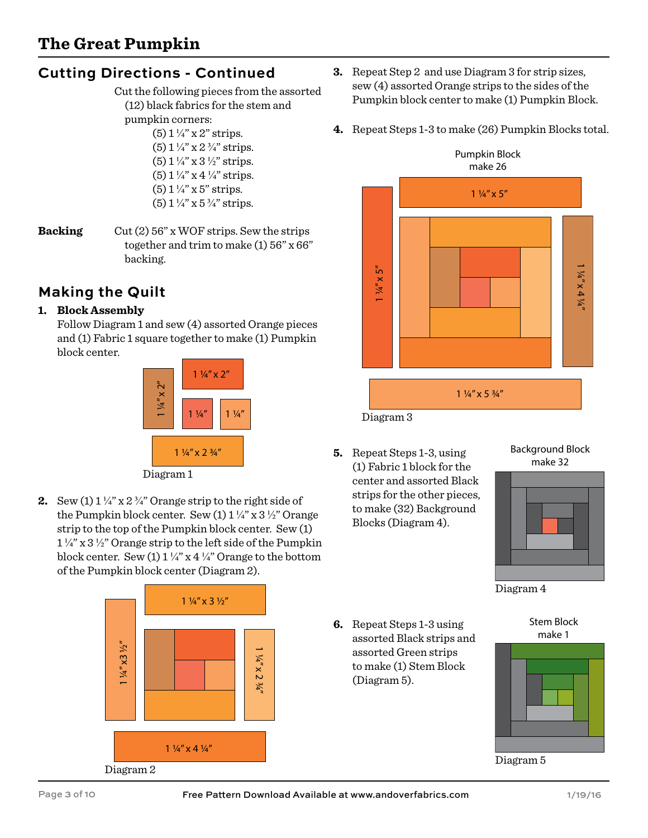### **Cutting Directions - Continued**

 Cut the following pieces from the assorted (12) black fabrics for the stem and pumpkin corners:

 $(5)$  1  $\frac{1}{4}$ " x 2" strips.  $(5)$  1  $\frac{1}{4}$  x 2  $\frac{3}{4}$  strips.  $(5)$  1  $\frac{1}{4}$ " x 3  $\frac{1}{2}$ " strips. (5)  $1\frac{1}{4}$ " x 4 $\frac{1}{4}$ " strips.  $(5)$  1  $\frac{1}{4}$ " x 5" strips.  $(5)$  1  $\frac{1}{4}$ " x 5  $\frac{3}{4}$ " strips.

**Backing** Cut (2) 56" x WOF strips. Sew the strips together and trim to make  $(1)$  56" x 66" backing.

### **Making the Quilt**

#### **1. Block Assembly**

Follow Diagram 1 and sew (4) assorted Orange pieces and (1) Fabric 1 square together to make (1) Pumpkin block center.



Diagram 1

**2.** Sew  $(1) 1\frac{1}{4}$  x  $2\frac{3}{4}$  Orange strip to the right side of the Pumpkin block center. Sew (1)  $1\frac{1}{4}$  x 3  $\frac{1}{2}$  Orange strip to the top of the Pumpkin block center. Sew (1)  $1\frac{1}{4}$ " x  $3\frac{1}{2}$ " Orange strip to the left side of the Pumpkin block center. Sew (1)  $1\frac{1}{4}$ " x 4  $\frac{1}{4}$ " Orange to the bottom of the Pumpkin block center (Diagram 2).



- **3.** Repeat Step 2 and use Diagram 3 for strip sizes, sew (4) assorted Orange strips to the sides of the Pumpkin block center to make (1) Pumpkin Block.
- **4.** Repeat Steps 1-3 to make (26) Pumpkin Blocks total.



**5.** Repeat Steps 1-3, using (1) Fabric 1 block for the center and assorted Black strips for the other pieces, to make (32) Background Blocks (Diagram 4).

#### Background Block make 32



Diagram 4

**6.** Repeat Steps 1-3 using assorted Black strips and assorted Green strips to make (1) Stem Block (Diagram 5).





Diagram 5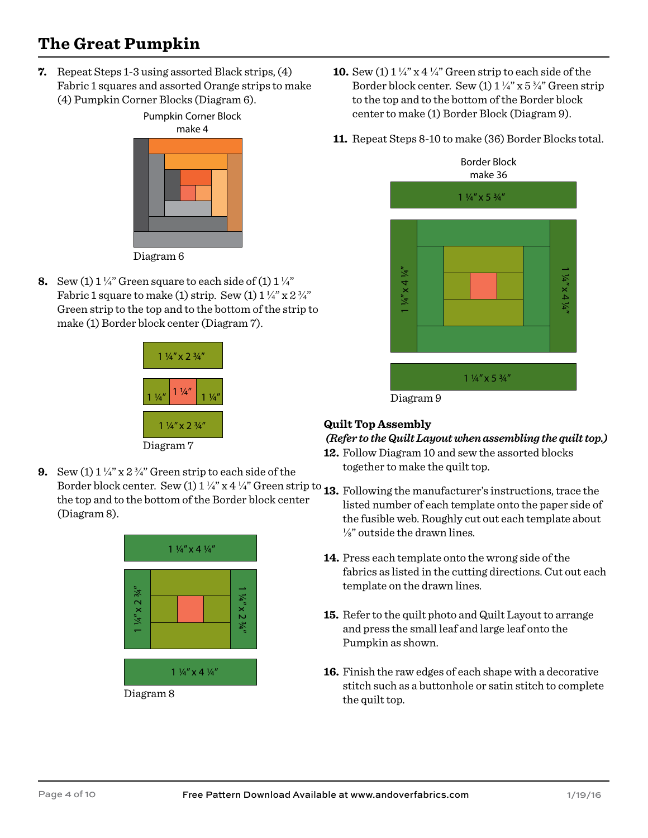## **The Great Pumpkin**

**7.** Repeat Steps 1-3 using assorted Black strips, (4) Fabric 1 squares and assorted Orange strips to make (4) Pumpkin Corner Blocks (Diagram 6).



Diagram 6

**8.** Sew (1)  $1\frac{1}{4}$  Green square to each side of (1)  $1\frac{1}{4}$ Fabric 1 square to make (1) strip. Sew (1)  $1\frac{1}{4}$  x  $2\frac{3}{4}$ Green strip to the top and to the bottom of the strip to make (1) Border block center (Diagram 7).



**9.** Sew (1)  $1\frac{1}{4}$  x  $2\frac{3}{4}$  Green strip to each side of the Border block center. Sew (1)  $1\frac{1}{4}$  x  $4\frac{1}{4}$  Green strip to **13.** Following the manufacturer's instructions, trace the the top and to the bottom of the Border block center (Diagram 8).



- **10.** Sew (1)  $1\frac{1}{4}$  x 4  $\frac{1}{4}$  Green strip to each side of the Border block center. Sew (1)  $1\frac{1}{4}$  x 5 $\frac{3}{4}$  Green strip to the top and to the bottom of the Border block center to make (1) Border Block (Diagram 9).
- **11.** Repeat Steps 8-10 to make (36) Border Blocks total.



#### **Quilt Top Assembly**

#### *(Refer to the Quilt Layout when assembling the quilt top.)*

- **12.** Follow Diagram 10 and sew the assorted blocks together to make the quilt top.
- listed number of each template onto the paper side of the fusible web. Roughly cut out each template about ⅛" outside the drawn lines.
- **14.** Press each template onto the wrong side of the fabrics as listed in the cutting directions. Cut out each template on the drawn lines.
- **15.** Refer to the quilt photo and Quilt Layout to arrange and press the small leaf and large leaf onto the Pumpkin as shown.
- **16.** Finish the raw edges of each shape with a decorative stitch such as a buttonhole or satin stitch to complete the quilt top.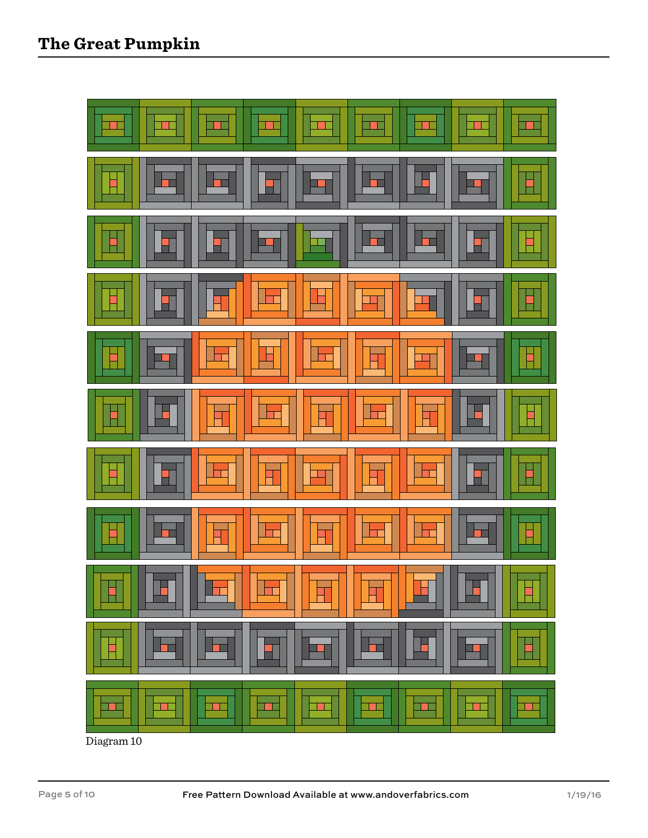

Diagram 10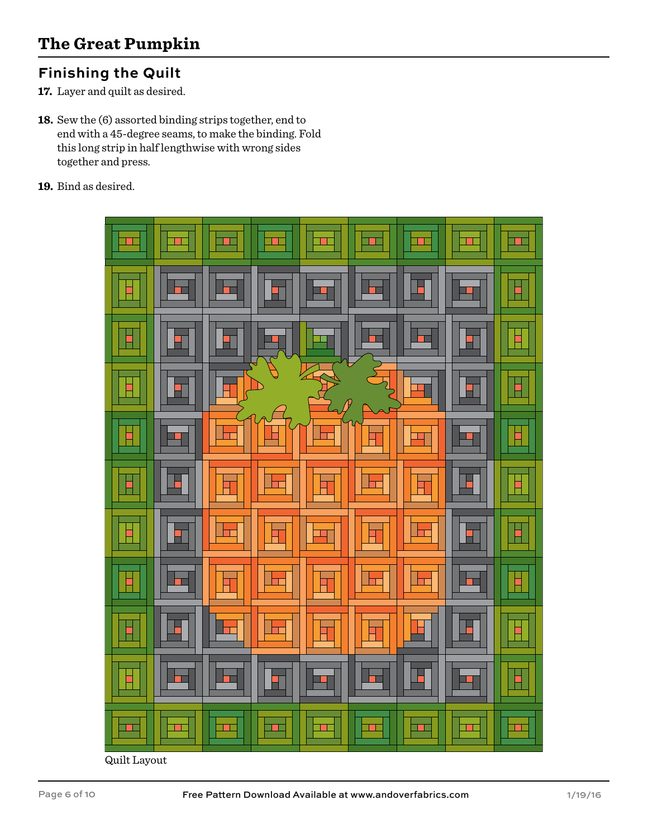#### **Finishing the Quilt**

- **17.** Layer and quilt as desired.
- **18.** Sew the (6) assorted binding strips together, end to end with a 45-degree seams, to make the binding. Fold this long strip in half lengthwise with wrong sides together and press.
- **19.** Bind as desired.



Quilt Layout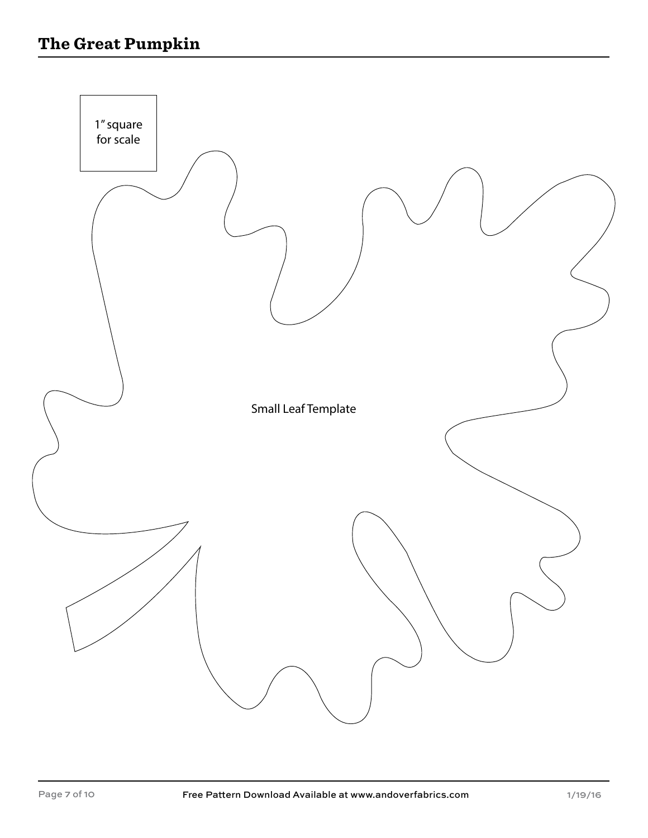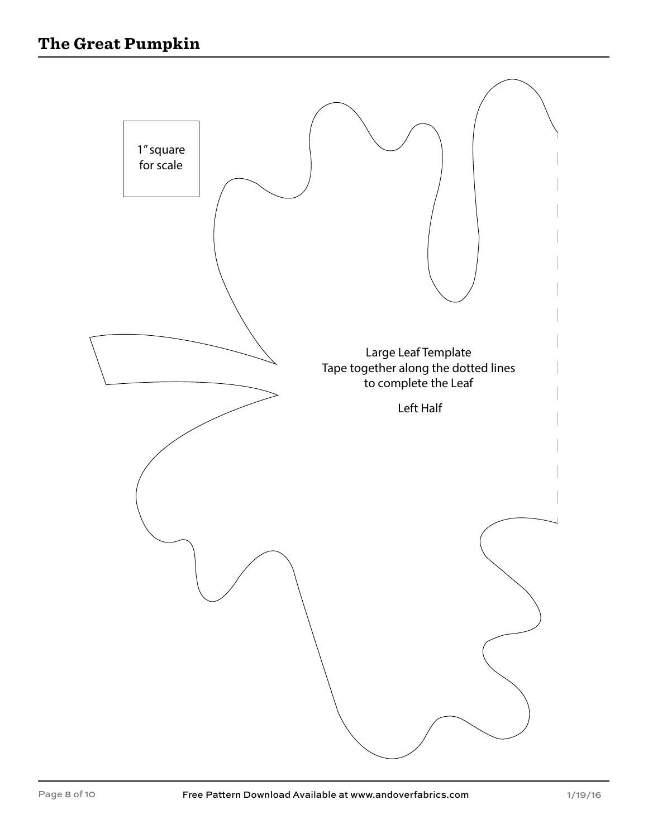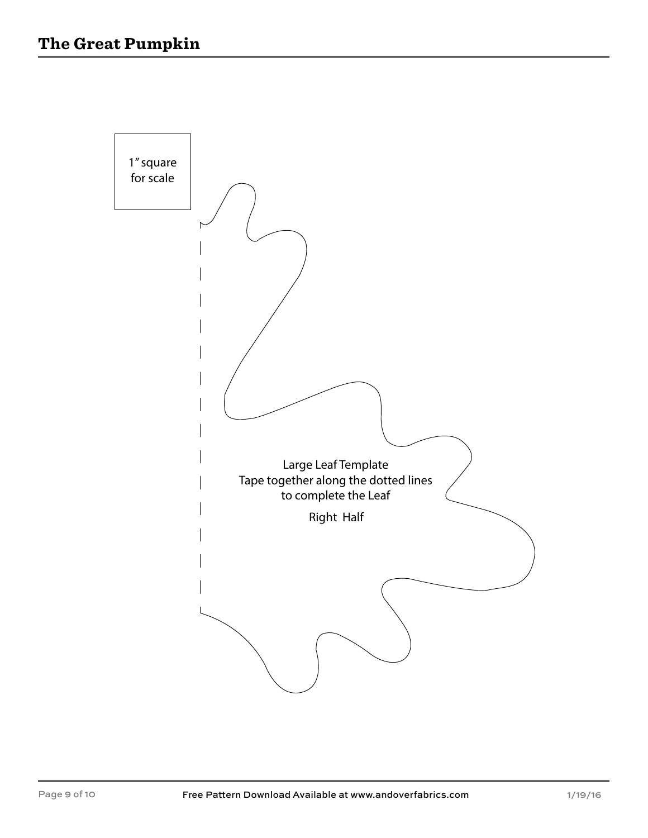